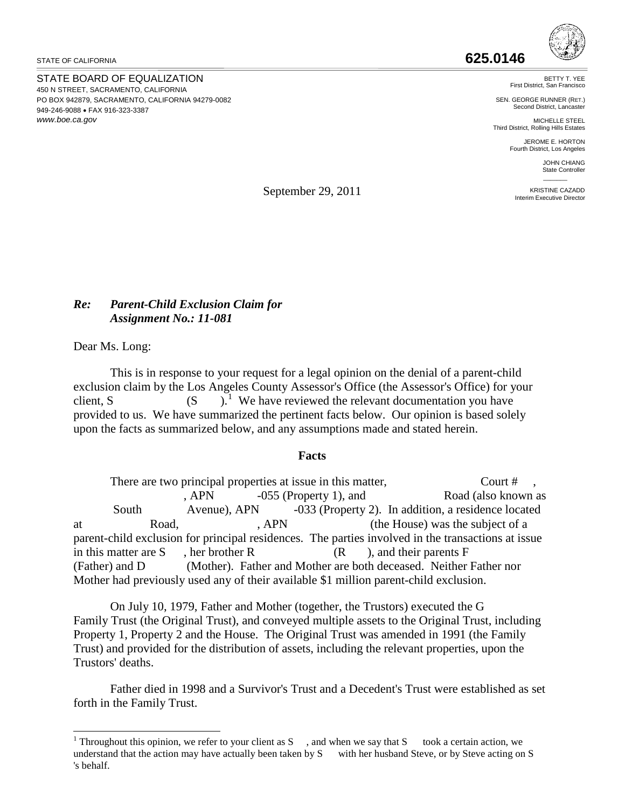STATE OF CALIFORNIA

STATE BOARD OF EQUALIZATION 450 N STREET, SACRAMENTO, CALIFORNIA PO BOX 942879, SACRAMENTO, CALIFORNIA 94279-0082 949-246-9088 • FAX 916-323-3387 *<www.boe.ca.gov>*

BETTY T. YEE First District, San Francis

SEN. GEORGE RUNNER (RET.) Second District, Lancaster

MICHELLE STEEL Third District, Rolling Hills Estates

JEROME E. HORTON Fourth District, Los Angeles

> JOHN CHIANG State Controller  $\overline{\phantom{a}}$

KRISTINE CAZADD Interim Executive Director

September 29, 2011

## *Re: Parent-Child Exclusion Claim for Assignment No.: 11-081*

Dear Ms. Long:

This is in response to your request for a legal opinion on the denial of a parent-child exclusion claim by the Los Angeles County Assessor's Office (the Assessor's Office) for your client, S. (S.  $\sum_{n=1}^{\infty}$  We have reviewed the relevant documentation you have provided to us. We have summarized the pertinent facts below. Our opinion is based solely upon the facts as summarized below, and any assumptions made and stated herein.

## **Facts**

There are two principal properties at issue in this matter, Court # , APN -055 (Property 1), and Road (also known as South Avenue), APN -033 (Property 2). In addition, a residence located at Road, Road, APN (the House) was the subject of a parent-child exclusion for principal residences. The parties involved in the transactions at issue in this matter are S , her brother R (R ), and their parents F (Father) and D (Mother). Father and Mother are both deceased. Neither Father nor Mother had previously used any of their available \$1 million parent-child exclusion.

On July 10, 1979, Father and Mother (together, the Trustors) executed the G Family Trust (the Original Trust), and conveyed multiple assets to the Original Trust, including Property 1, Property 2 and the House. The Original Trust was amended in 1991 (the Family Trust) and provided for the distribution of assets, including the relevant properties, upon the Trustors' deaths.

Father died in 1998 and a Survivor's Trust and a Decedent's Trust were established as set forth in the Family Trust.

<span id="page-0-0"></span> $\overline{a}$ <sup>1</sup> Throughout this opinion, we refer to your client as S  $\,$ , and when we say that S took a certain action, we understand that the action may have actually been taken by S with her husband Steve, or by Steve acting on S 's behalf.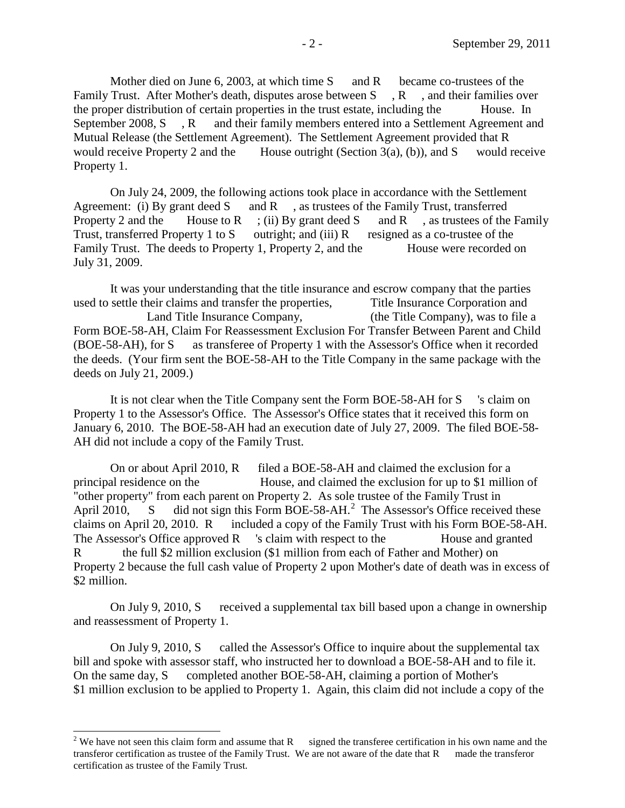Mother died on June 6, 2003, at which time  $S$  and R became co-trustees of the Family Trust. After Mother's death, disputes arose between S, R, and their families over the proper distribution of certain properties in the trust estate, including the House. In September 2008, S<sub>3</sub>, R<sub>3</sub> and their family members entered into a Settlement Agreement and Mutual Release (the Settlement Agreement). The Settlement Agreement provided that R would receive Property 2 and the House outright (Section 3(a), (b)), and S would receive Property 1.

On July 24, 2009, the following actions took place in accordance with the Settlement Agreement: (i) By grant deed S and R , as trustees of the Family Trust, transferred Property 2 and the House to R ; (ii) By grant deed S and R , as trustees of the Family Trust, transferred Property 1 to S outright; and (iii) R resigned as a co-trustee of the Family Trust. The deeds to Property 1, Property 2, and the House were recorded on July 31, 2009.

It was your understanding that the title insurance and escrow company that the parties used to settle their claims and transfer the properties, Title Insurance Corporation and Land Title Insurance Company, (the Title Company), was to file a Form BOE-58-AH, Claim For Reassessment Exclusion For Transfer Between Parent and Child (BOE-58-AH), for S as transferee of Property 1 with the Assessor's Office when it recorded the deeds. (Your firm sent the BOE-58-AH to the Title Company in the same package with the deeds on July 21, 2009.)

It is not clear when the Title Company sent the Form BOE-58-AH for S 's claim on Property 1 to the Assessor's Office. The Assessor's Office states that it received this form on January 6, 2010. The BOE-58-AH had an execution date of July 27, 2009. The filed BOE-58- AH did not include a copy of the Family Trust.

On or about April 2010, R filed a BOE-58-AH and claimed the exclusion for a principal residence on the House, and claimed the exclusion for up to \$1 million of "other property" from each parent on Property 2. As sole trustee of the Family Trust in April 2010, S did not sign this Form BOE-58-AH.<sup>2</sup> The Assessor's Office received these claims on April 20, 2010. R included a copy of the Family Trust with his Form BOE-58-AH. The Assessor's Office approved  $R$  's claim with respect to the House and granted R the full \$2 million exclusion (\$1 million from each of Father and Mother) on Property 2 because the full cash value of Property 2 upon Mother's date of death was in excess of \$2 million.

On July 9, 2010, S received a supplemental tax bill based upon a change in ownership and reassessment of Property 1.

On July 9, 2010, S called the Assessor's Office to inquire about the supplemental tax bill and spoke with assessor staff, who instructed her to download a BOE-58-AH and to file it. On the same day, S completed another BOE-58-AH, claiming a portion of Mother's \$1 million exclusion to be applied to Property 1. Again, this claim did not include a copy of the

<span id="page-1-0"></span> transferor certification as trustee of the Family Trust. We are not aware of the date that R made the transferor <sup>2</sup> We have not seen this claim form and assume that R signed the transferee certification in his own name and the certification as trustee of the Family Trust.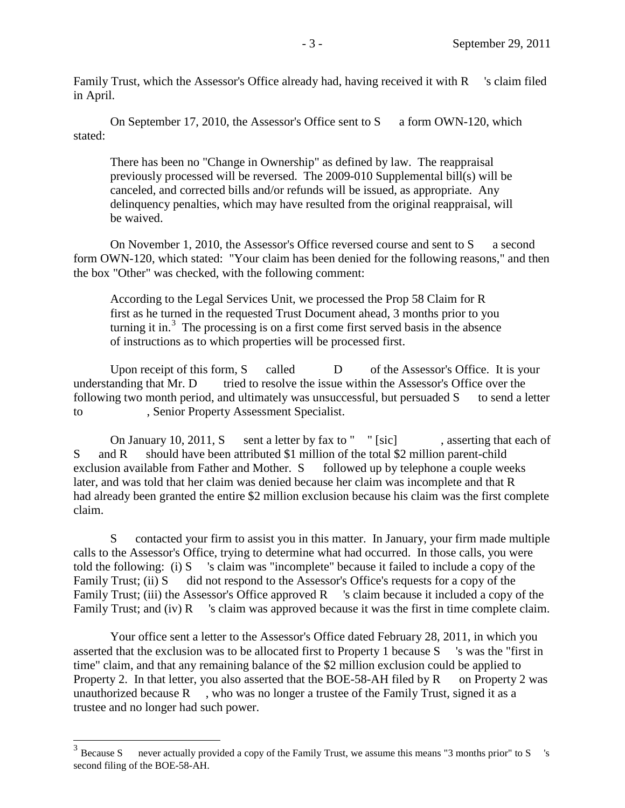Family Trust, which the Assessor's Office already had, having received it with R 's claim filed in April.

On September 17, 2010, the Assessor's Office sent to S a form OWN-120, which stated:

There has been no "Change in Ownership" as defined by law. The reappraisal previously processed will be reversed. The 2009-010 Supplemental bill(s) will be canceled, and corrected bills and/or refunds will be issued, as appropriate. Any delinquency penalties, which may have resulted from the original reappraisal, will be waived.

On November 1, 2010, the Assessor's Office reversed course and sent to S a second form OWN-120, which stated: "Your claim has been denied for the following reasons," and then the box "Other" was checked, with the following comment:

According to the Legal Services Unit, we processed the Prop 58 Claim for R first as he turned in the requested Trust Document ahead, 3 months prior to you turning it in.<sup>[3](#page-2-0)</sup> The processing is on a first come first served basis in the absence of instructions as to which properties will be processed first.

Upon receipt of this form, S called D of the Assessor's Office. It is your understanding that Mr. D tried to resolve the issue within the Assessor's Office over the following two month period, and ultimately was unsuccessful, but persuaded  $S$  to send a letter to , Senior Property Assessment Specialist.

On January 10, 2011, S sent a letter by fax to "  $"$  [sic], asserting that each of S and R should have been attributed \$1 million of the total \$2 million parent-child exclusion available from Father and Mother. S followed up by telephone a couple weeks later, and was told that her claim was denied because her claim was incomplete and that R had already been granted the entire \$2 million exclusion because his claim was the first complete claim.

S contacted your firm to assist you in this matter. In January, your firm made multiple calls to the Assessor's Office, trying to determine what had occurred. In those calls, you were told the following: (i) S 's claim was "incomplete" because it failed to include a copy of the Family Trust; (ii) S did not respond to the Assessor's Office's requests for a copy of the Family Trust; (iii) the Assessor's Office approved R sclaim because it included a copy of the Family Trust; and (iv) R sclaim was approved because it was the first in time complete claim.

Your office sent a letter to the Assessor's Office dated February 28, 2011, in which you asserted that the exclusion was to be allocated first to Property 1 because S 's was the "first in time" claim, and that any remaining balance of the \$2 million exclusion could be applied to Property 2. In that letter, you also asserted that the BOE-58-AH filed by  $R$  on Property 2 was unauthorized because  $R \rightarrow$ , who was no longer a trustee of the Family Trust, signed it as a trustee and no longer had such power.

<span id="page-2-0"></span> $3$  Because S never actually provided a copy of the Family Trust, we assume this means "3 months prior" to S s second filing of the BOE-58-AH.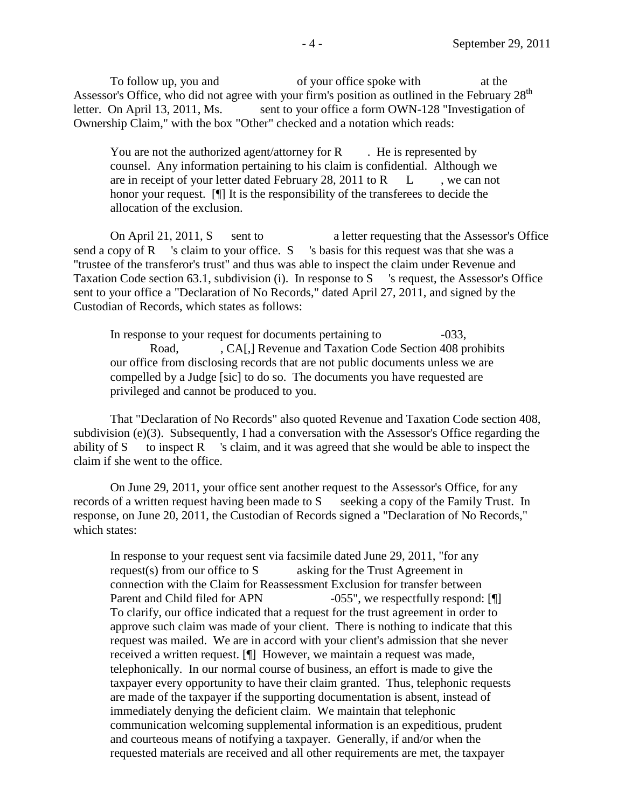To follow up, you and of your office spoke with at the Assessor's Office, who did not agree with your firm's position as outlined in the February  $28<sup>th</sup>$ letter. On April 13, 2011, Ms. sent to your office a form OWN-128 "Investigation of Ownership Claim," with the box "Other" checked and a notation which reads:

You are not the authorized agent/attorney for  $R$ . He is represented by counsel. Any information pertaining to his claim is confidential. Although we are in receipt of your letter dated February 28, 2011 to  $R$   $L$ , we can not honor your request. [¶] It is the responsibility of the transferees to decide the allocation of the exclusion.

On April 21, 2011, S sent to a letter requesting that the Assessor's Office send a copy of R 's claim to your office. S 's basis for this request was that she was a "trustee of the transferor's trust" and thus was able to inspect the claim under Revenue and Taxation Code section 63.1, subdivision (i). In response to S 's request, the Assessor's Office sent to your office a "Declaration of No Records," dated April 27, 2011, and signed by the Custodian of Records, which states as follows:

In response to your request for documents pertaining to  $-033$ , Road, CA[,] Revenue and Taxation Code Section 408 prohibits our office from disclosing records that are not public documents unless we are compelled by a Judge [sic] to do so. The documents you have requested are privileged and cannot be produced to you.

That "Declaration of No Records" also quoted Revenue and Taxation Code section 408, subdivision (e)(3). Subsequently, I had a conversation with the Assessor's Office regarding the ability of S to inspect R sclaim, and it was agreed that she would be able to inspect the claim if she went to the office.

On June 29, 2011, your office sent another request to the Assessor's Office, for any records of a written request having been made to S seeking a copy of the Family Trust. In response, on June 20, 2011, the Custodian of Records signed a "Declaration of No Records," which states:

In response to your request sent via facsimile dated June 29, 2011, "for any request(s) from our office to S asking for the Trust Agreement in connection with the Claim for Reassessment Exclusion for transfer between Parent and Child filed for APN -055", we respectfully respond: [[] To clarify, our office indicated that a request for the trust agreement in order to approve such claim was made of your client. There is nothing to indicate that this request was mailed. We are in accord with your client's admission that she never received a written request. [¶] However, we maintain a request was made, telephonically. In our normal course of business, an effort is made to give the taxpayer every opportunity to have their claim granted. Thus, telephonic requests are made of the taxpayer if the supporting documentation is absent, instead of immediately denying the deficient claim. We maintain that telephonic communication welcoming supplemental information is an expeditious, prudent and courteous means of notifying a taxpayer. Generally, if and/or when the requested materials are received and all other requirements are met, the taxpayer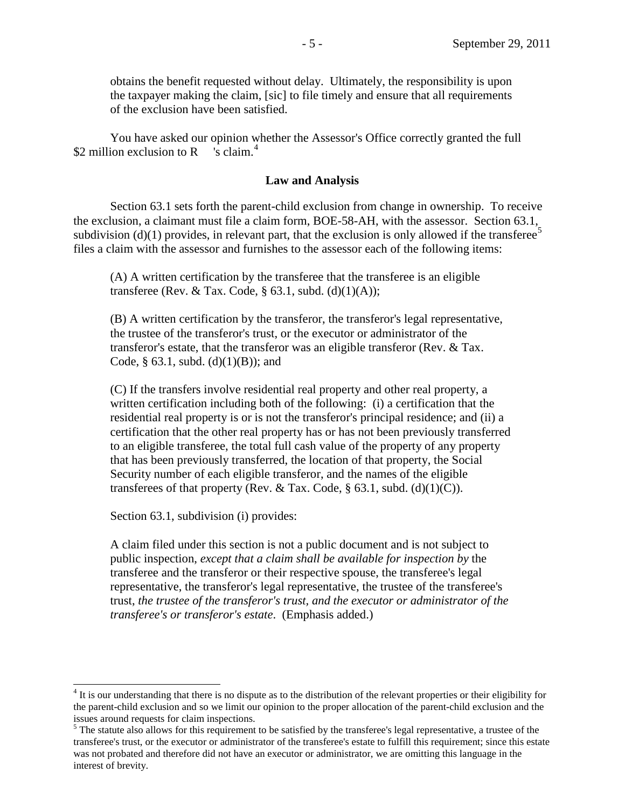obtains the benefit requested without delay. Ultimately, the responsibility is upon the taxpayer making the claim, [sic] to file timely and ensure that all requirements of the exclusion have been satisfied.

You have asked our opinion whether the Assessor's Office correctly granted the full \$2 million exclusion to R  $\,$  's claim.<sup>[4](#page-4-0)</sup>

## **Law and Analysis**

Section 63.1 sets forth the parent-child exclusion from change in ownership. To receive the exclusion, a claimant must file a claim form, BOE-58-AH, with the assessor. Section 63.1, subdivision (d)(1) provides, in relevant part, that the exclusion is only allowed if the transferee<sup>[5](#page-4-1)</sup> files a claim with the assessor and furnishes to the assessor each of the following items:

(A) A written certification by the transferee that the transferee is an eligible transferee (Rev. & Tax. Code,  $\S$  63.1, subd. (d)(1)(A));

 transferor's estate, that the transferor was an eligible transferor (Rev. & Tax. (B) A written certification by the transferor, the transferor's legal representative, the trustee of the transferor's trust, or the executor or administrator of the Code, § 63.1, subd. (d)(1)(B)); and

(C) If the transfers involve residential real property and other real property, a written certification including both of the following: (i) a certification that the residential real property is or is not the transferor's principal residence; and (ii) a certification that the other real property has or has not been previously transferred to an eligible transferee, the total full cash value of the property of any property that has been previously transferred, the location of that property, the Social Security number of each eligible transferor, and the names of the eligible transferees of that property (Rev. & Tax. Code,  $\S$  63.1, subd. (d)(1)(C)).

Section 63.1, subdivision (i) provides:

 $\overline{a}$ 

A claim filed under this section is not a public document and is not subject to public inspection, *except that a claim shall be available for inspection by* the transferee and the transferor or their respective spouse, the transferee's legal representative, the transferor's legal representative, the trustee of the transferee's trust, *the trustee of the transferor's trust, and the executor or administrator of the transferee's or transferor's estate*. (Emphasis added.)

<span id="page-4-0"></span> $4$  It is our understanding that there is no dispute as to the distribution of the relevant properties or their eligibility for the parent-child exclusion and so we limit our opinion to the proper allocation of the parent-child exclusion and the

<span id="page-4-1"></span> $<sup>5</sup>$  The statute also allows for this requirement to be satisfied by the transferee's legal representative, a trustee of the</sup> transferee's trust, or the executor or administrator of the transferee's estate to fulfill this requirement; since this estate was not probated and therefore did not have an executor or administrator, we are omitting this language in the interest of brevity.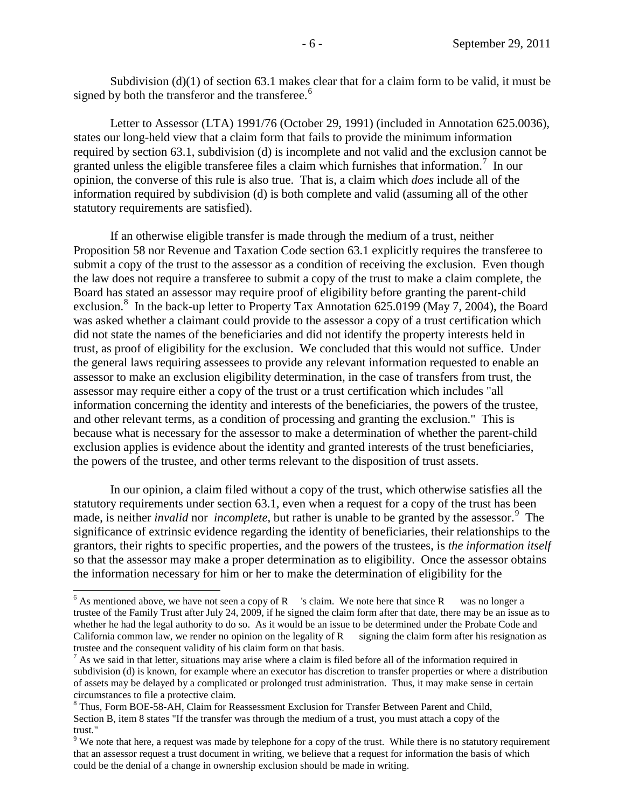Subdivision  $(d)(1)$  of section 63.1 makes clear that for a claim form to be valid, it must be signed by both the transferor and the transferee.<sup>6</sup>

Letter to Assessor (LTA) 1991/76 (October 29, 1991) (included in Annotation 625.0036), states our long-held view that a claim form that fails to provide the minimum information required by section 63.1, subdivision (d) is incomplete and not valid and the exclusion cannot be granted unless the eligible transferee files a claim which furnishes that information.<sup>[7](#page-5-1)</sup> In our opinion, the converse of this rule is also true. That is, a claim which *does* include all of the information required by subdivision (d) is both complete and valid (assuming all of the other statutory requirements are satisfied).

If an otherwise eligible transfer is made through the medium of a trust, neither Proposition 58 nor Revenue and Taxation Code section 63.1 explicitly requires the transferee to submit a copy of the trust to the assessor as a condition of receiving the exclusion. Even though the law does not require a transferee to submit a copy of the trust to make a claim complete, the Board has stated an assessor may require proof of eligibility before granting the parent-child exclusion.<sup>8</sup> In the back-up letter to Property Tax Annotation 625.0199 (May 7, 2004), the Board was asked whether a claimant could provide to the assessor a copy of a trust certification which did not state the names of the beneficiaries and did not identify the property interests held in trust, as proof of eligibility for the exclusion. We concluded that this would not suffice. Under the general laws requiring assessees to provide any relevant information requested to enable an assessor to make an exclusion eligibility determination, in the case of transfers from trust, the assessor may require either a copy of the trust or a trust certification which includes "all information concerning the identity and interests of the beneficiaries, the powers of the trustee, and other relevant terms, as a condition of processing and granting the exclusion." This is because what is necessary for the assessor to make a determination of whether the parent-child exclusion applies is evidence about the identity and granted interests of the trust beneficiaries, the powers of the trustee, and other terms relevant to the disposition of trust assets.

In our opinion, a claim filed without a copy of the trust, which otherwise satisfies all the statutory requirements under section 63.1, even when a request for a copy of the trust has been made, is neither *invalid* nor *incomplete*, but rather is unable to be granted by the assessor.<sup>9</sup> The significance of extrinsic evidence regarding the identity of beneficiaries, their relationships to the grantors, their rights to specific properties, and the powers of the trustees, is *the information itself*  so that the assessor may make a proper determination as to eligibility. Once the assessor obtains the information necessary for him or her to make the determination of eligibility for the

<span id="page-5-0"></span> $6$  As mentioned above, we have not seen a copy of R  $\,$  's claim. We note here that since R was no longer a trustee of the Family Trust after July 24, 2009, if he signed the claim form after that date, there may be an issue as to whether he had the legal authority to do so. As it would be an issue to be determined under the Probate Code and California common law, we render no opinion on the legality of  $R$  signing the claim form after his resignation as trustee and the consequent validity of his claim form on that basis.

<span id="page-5-1"></span> $\frac{7}{1}$  As we said in that letter, situations may arise where a claim is filed before all of the information required in subdivision (d) is known, for example where an executor has discretion to transfer properties or where a distribution of assets may be delayed by a complicated or prolonged trust administration. Thus, it may make sense in certain

<span id="page-5-2"></span> $8$  Thus, Form BOE-58-AH, Claim for Reassessment Exclusion for Transfer Between Parent and Child, Section B, item 8 states "If the transfer was through the medium of a trust, you must attach a copy of the trust."<br><sup>9</sup> We note that here, a request was made by telephone for a copy of the trust. While there is no statutory requirement

<span id="page-5-3"></span>that an assessor request a trust document in writing, we believe that a request for information the basis of which could be the denial of a change in ownership exclusion should be made in writing.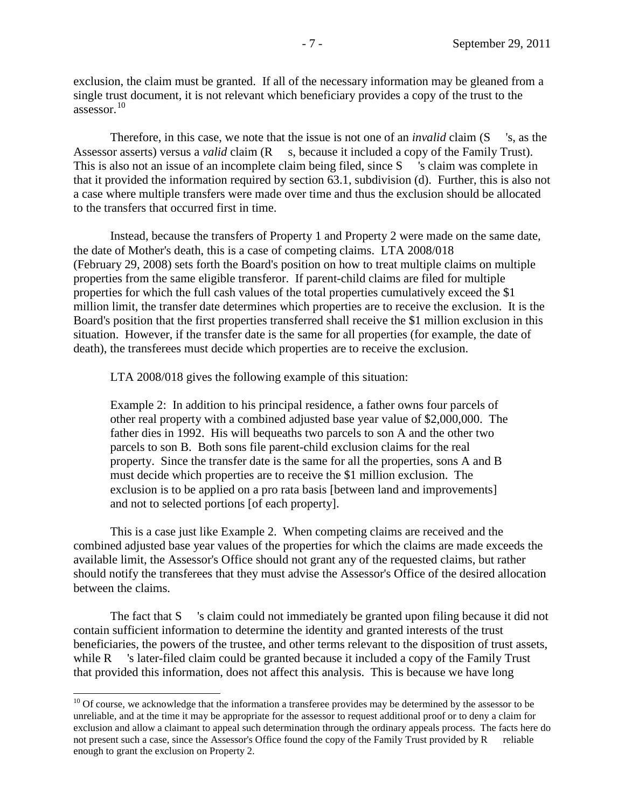exclusion, the claim must be granted. If all of the necessary information may be gleaned from a single trust document, it is not relevant which beneficiary provides a copy of the trust to the assessor. [10](#page-6-0)

Therefore, in this case, we note that the issue is not one of an *invalid* claim (S 's, as the Assessor asserts) versus a *valid* claim (R s, because it included a copy of the Family Trust). This is also not an issue of an incomplete claim being filed, since S sclaim was complete in that it provided the information required by section 63.1, subdivision (d). Further, this is also not a case where multiple transfers were made over time and thus the exclusion should be allocated to the transfers that occurred first in time.

Instead, because the transfers of Property 1 and Property 2 were made on the same date, the date of Mother's death, this is a case of competing claims. LTA 2008/018 (February 29, 2008) sets forth the Board's position on how to treat multiple claims on multiple properties from the same eligible transferor. If parent-child claims are filed for multiple properties for which the full cash values of the total properties cumulatively exceed the \$1 million limit, the transfer date determines which properties are to receive the exclusion. It is the Board's position that the first properties transferred shall receive the \$1 million exclusion in this situation. However, if the transfer date is the same for all properties (for example, the date of death), the transferees must decide which properties are to receive the exclusion.

LTA 2008/018 gives the following example of this situation:

Example 2: In addition to his principal residence, a father owns four parcels of other real property with a combined adjusted base year value of \$2,000,000. The father dies in 1992. His will bequeaths two parcels to son A and the other two parcels to son B. Both sons file parent-child exclusion claims for the real property. Since the transfer date is the same for all the properties, sons A and B must decide which properties are to receive the \$1 million exclusion. The exclusion is to be applied on a pro rata basis [between land and improvements] and not to selected portions [of each property].

This is a case just like Example 2. When competing claims are received and the combined adjusted base year values of the properties for which the claims are made exceeds the available limit, the Assessor's Office should not grant any of the requested claims, but rather should notify the transferees that they must advise the Assessor's Office of the desired allocation between the claims.

The fact that S 's claim could not immediately be granted upon filing because it did not contain sufficient information to determine the identity and granted interests of the trust beneficiaries, the powers of the trustee, and other terms relevant to the disposition of trust assets, while R stater-filed claim could be granted because it included a copy of the Family Trust that provided this information, does not affect this analysis. This is because we have long

<span id="page-6-0"></span> $10$  Of course, we acknowledge that the information a transferee provides may be determined by the assessor to be unreliable, and at the time it may be appropriate for the assessor to request additional proof or to deny a claim for exclusion and allow a claimant to appeal such determination through the ordinary appeals process. The facts here do not present such a case, since the Assessor's Office found the copy of the Family Trust provided by R reliable enough to grant the exclusion on Property 2.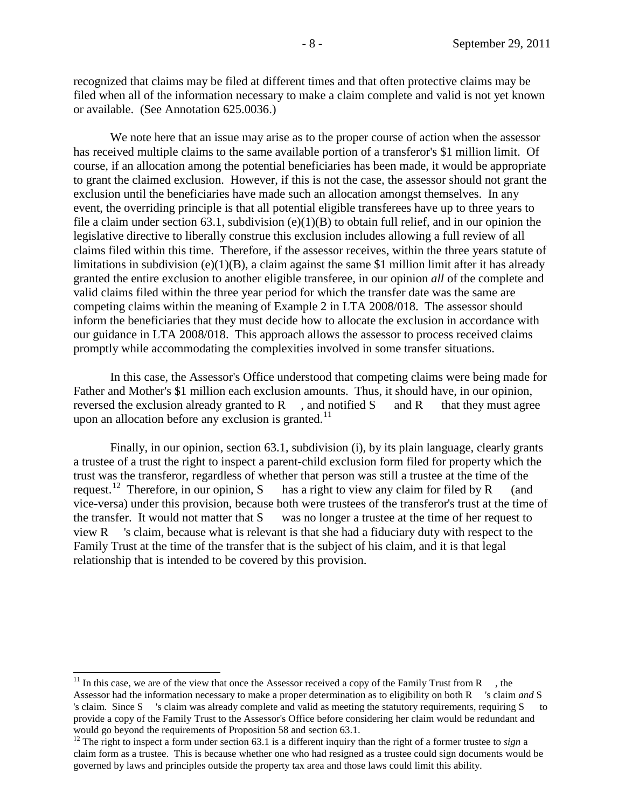recognized that claims may be filed at different times and that often protective claims may be filed when all of the information necessary to make a claim complete and valid is not yet known or available. (See Annotation 625.0036.)

We note here that an issue may arise as to the proper course of action when the assessor has received multiple claims to the same available portion of a transferor's \$1 million limit. Of course, if an allocation among the potential beneficiaries has been made, it would be appropriate to grant the claimed exclusion. However, if this is not the case, the assessor should not grant the exclusion until the beneficiaries have made such an allocation amongst themselves. In any event, the overriding principle is that all potential eligible transferees have up to three years to file a claim under section 63.1, subdivision  $(e)(1)(B)$  to obtain full relief, and in our opinion the legislative directive to liberally construe this exclusion includes allowing a full review of all claims filed within this time. Therefore, if the assessor receives, within the three years statute of limitations in subdivision (e)(1)(B), a claim against the same \$1 million limit after it has already granted the entire exclusion to another eligible transferee, in our opinion *all* of the complete and valid claims filed within the three year period for which the transfer date was the same are competing claims within the meaning of Example 2 in LTA 2008/018. The assessor should inform the beneficiaries that they must decide how to allocate the exclusion in accordance with our guidance in LTA 2008/018. This approach allows the assessor to process received claims promptly while accommodating the complexities involved in some transfer situations.

In this case, the Assessor's Office understood that competing claims were being made for Father and Mother's \$1 million each exclusion amounts. Thus, it should have, in our opinion, reversed the exclusion already granted to  $R$ , and notified  $S$  and  $R$  that they must agree upon an allocation before any exclusion is granted.<sup>[11](#page-7-0)</sup>

Finally, in our opinion, section 63.1, subdivision (i), by its plain language, clearly grants a trustee of a trust the right to inspect a parent-child exclusion form filed for property which the trust was the transferor, regardless of whether that person was still a trustee at the time of the request.<sup>12</sup> Therefore, in our opinion, S has a right to view any claim for filed by R (and has a right to view any claim for filed by  $R$  (and vice-versa) under this provision, because both were trustees of the transferor's trust at the time of the transfer. It would not matter that S was no longer a trustee at the time of her request to view R 's claim, because what is relevant is that she had a fiduciary duty with respect to the Family Trust at the time of the transfer that is the subject of his claim, and it is that legal relationship that is intended to be covered by this provision.

<span id="page-7-0"></span> provide a copy of the Family Trust to the Assessor's Office before considering her claim would be redundant and <sup>11</sup> In this case, we are of the view that once the Assessor received a copy of the Family Trust from R  $\,$ , the Assessor had the information necessary to make a proper determination as to eligibility on both R 's claim *and* S 's claim. Since S 's claim was already complete and valid as meeting the statutory requirements, requiring S to would go beyond the requirements of Proposition 58 and section 63.1.<br><sup>12</sup> The right to inspect a form under section 63.1 is a different inquiry than the right of a former trustee to *sign* a

<span id="page-7-1"></span> claim form as a trustee. This is because whether one who had resigned as a trustee could sign documents would be governed by laws and principles outside the property tax area and those laws could limit this ability.